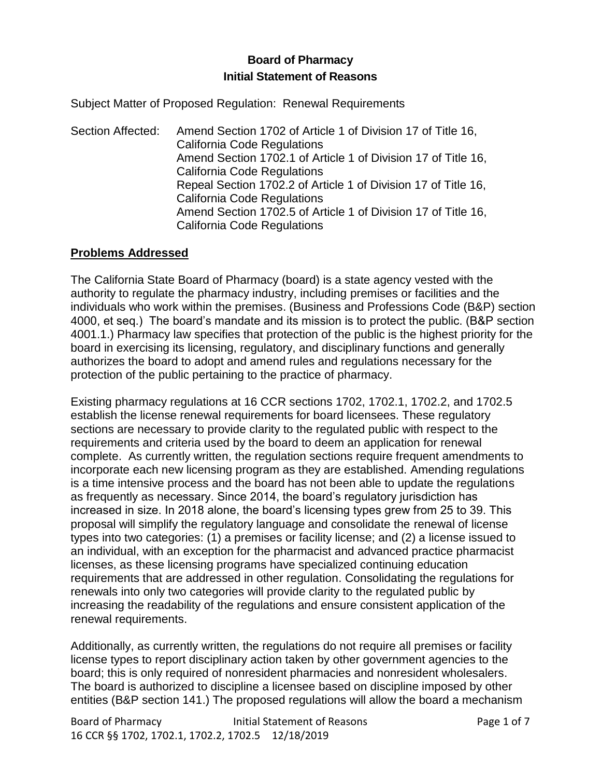# **Board of Pharmacy Initial Statement of Reasons**

Subject Matter of Proposed Regulation: Renewal Requirements

Section Affected: Amend Section 1702 of Article 1 of Division 17 of Title 16, California Code Regulations Amend Section 1702.1 of Article 1 of Division 17 of Title 16, California Code Regulations Repeal Section 1702.2 of Article 1 of Division 17 of Title 16, California Code Regulations Amend Section 1702.5 of Article 1 of Division 17 of Title 16, California Code Regulations

### **Problems Addressed**

The California State Board of Pharmacy (board) is a state agency vested with the authority to regulate the pharmacy industry, including premises or facilities and the individuals who work within the premises. (Business and Professions Code (B&P) section 4000, et seq.) The board's mandate and its mission is to protect the public. (B&P section 4001.1.) Pharmacy law specifies that protection of the public is the highest priority for the board in exercising its licensing, regulatory, and disciplinary functions and generally authorizes the board to adopt and amend rules and regulations necessary for the protection of the public pertaining to the practice of pharmacy.

Existing pharmacy regulations at 16 CCR sections 1702, 1702.1, 1702.2, and 1702.5 establish the license renewal requirements for board licensees. These regulatory sections are necessary to provide clarity to the regulated public with respect to the requirements and criteria used by the board to deem an application for renewal complete. As currently written, the regulation sections require frequent amendments to incorporate each new licensing program as they are established. Amending regulations is a time intensive process and the board has not been able to update the regulations as frequently as necessary. Since 2014, the board's regulatory jurisdiction has increased in size. In 2018 alone, the board's licensing types grew from 25 to 39. This proposal will simplify the regulatory language and consolidate the renewal of license types into two categories: (1) a premises or facility license; and (2) a license issued to an individual, with an exception for the pharmacist and advanced practice pharmacist licenses, as these licensing programs have specialized continuing education requirements that are addressed in other regulation. Consolidating the regulations for renewals into only two categories will provide clarity to the regulated public by increasing the readability of the regulations and ensure consistent application of the renewal requirements.

Additionally, as currently written, the regulations do not require all premises or facility license types to report disciplinary action taken by other government agencies to the board; this is only required of nonresident pharmacies and nonresident wholesalers. The board is authorized to discipline a licensee based on discipline imposed by other entities (B&P section 141.) The proposed regulations will allow the board a mechanism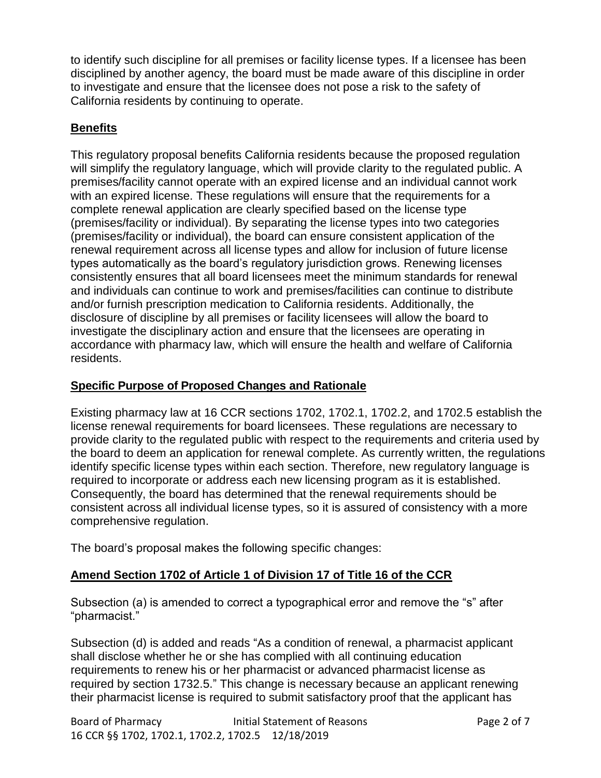to identify such discipline for all premises or facility license types. If a licensee has been disciplined by another agency, the board must be made aware of this discipline in order to investigate and ensure that the licensee does not pose a risk to the safety of California residents by continuing to operate.

## **Benefits**

This regulatory proposal benefits California residents because the proposed regulation will simplify the regulatory language, which will provide clarity to the regulated public. A premises/facility cannot operate with an expired license and an individual cannot work with an expired license. These regulations will ensure that the requirements for a complete renewal application are clearly specified based on the license type (premises/facility or individual). By separating the license types into two categories (premises/facility or individual), the board can ensure consistent application of the renewal requirement across all license types and allow for inclusion of future license types automatically as the board's regulatory jurisdiction grows. Renewing licenses consistently ensures that all board licensees meet the minimum standards for renewal and individuals can continue to work and premises/facilities can continue to distribute and/or furnish prescription medication to California residents. Additionally, the disclosure of discipline by all premises or facility licensees will allow the board to investigate the disciplinary action and ensure that the licensees are operating in accordance with pharmacy law, which will ensure the health and welfare of California residents.

### **Specific Purpose of Proposed Changes and Rationale**

Existing pharmacy law at 16 CCR sections 1702, 1702.1, 1702.2, and 1702.5 establish the license renewal requirements for board licensees. These regulations are necessary to provide clarity to the regulated public with respect to the requirements and criteria used by the board to deem an application for renewal complete. As currently written, the regulations identify specific license types within each section. Therefore, new regulatory language is required to incorporate or address each new licensing program as it is established. Consequently, the board has determined that the renewal requirements should be consistent across all individual license types, so it is assured of consistency with a more comprehensive regulation.

The board's proposal makes the following specific changes:

# **Amend Section 1702 of Article 1 of Division 17 of Title 16 of the CCR**

Subsection (a) is amended to correct a typographical error and remove the "s" after "pharmacist."

Subsection (d) is added and reads "As a condition of renewal, a pharmacist applicant shall disclose whether he or she has complied with all continuing education requirements to renew his or her pharmacist or advanced pharmacist license as required by section 1732.5." This change is necessary because an applicant renewing their pharmacist license is required to submit satisfactory proof that the applicant has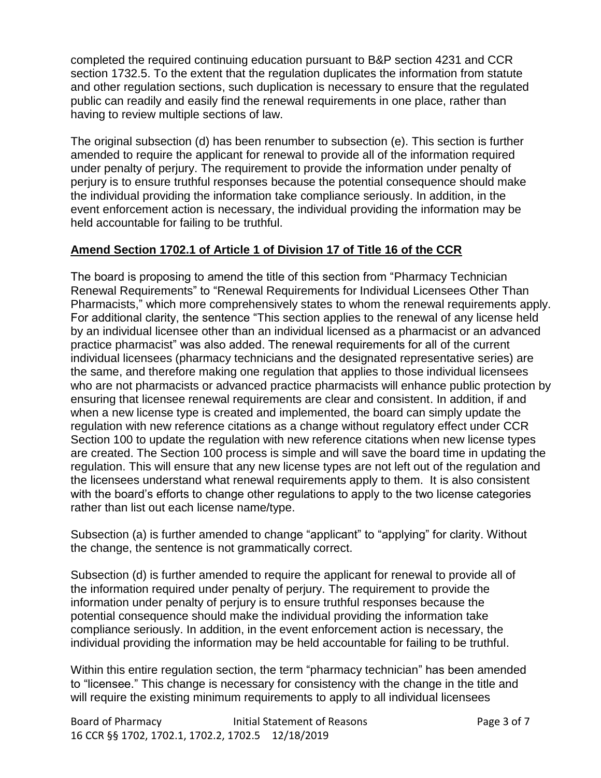completed the required continuing education pursuant to B&P section 4231 and CCR section 1732.5. To the extent that the regulation duplicates the information from statute and other regulation sections, such duplication is necessary to ensure that the regulated public can readily and easily find the renewal requirements in one place, rather than having to review multiple sections of law.

The original subsection (d) has been renumber to subsection (e). This section is further amended to require the applicant for renewal to provide all of the information required under penalty of perjury. The requirement to provide the information under penalty of perjury is to ensure truthful responses because the potential consequence should make the individual providing the information take compliance seriously. In addition, in the event enforcement action is necessary, the individual providing the information may be held accountable for failing to be truthful.

# **Amend Section 1702.1 of Article 1 of Division 17 of Title 16 of the CCR**

The board is proposing to amend the title of this section from "Pharmacy Technician Renewal Requirements" to "Renewal Requirements for Individual Licensees Other Than Pharmacists," which more comprehensively states to whom the renewal requirements apply. For additional clarity, the sentence "This section applies to the renewal of any license held by an individual licensee other than an individual licensed as a pharmacist or an advanced practice pharmacist" was also added. The renewal requirements for all of the current individual licensees (pharmacy technicians and the designated representative series) are the same, and therefore making one regulation that applies to those individual licensees who are not pharmacists or advanced practice pharmacists will enhance public protection by ensuring that licensee renewal requirements are clear and consistent. In addition, if and when a new license type is created and implemented, the board can simply update the regulation with new reference citations as a change without regulatory effect under CCR Section 100 to update the regulation with new reference citations when new license types are created. The Section 100 process is simple and will save the board time in updating the regulation. This will ensure that any new license types are not left out of the regulation and the licensees understand what renewal requirements apply to them. It is also consistent with the board's efforts to change other regulations to apply to the two license categories rather than list out each license name/type.

Subsection (a) is further amended to change "applicant" to "applying" for clarity. Without the change, the sentence is not grammatically correct.

Subsection (d) is further amended to require the applicant for renewal to provide all of the information required under penalty of perjury. The requirement to provide the information under penalty of perjury is to ensure truthful responses because the potential consequence should make the individual providing the information take compliance seriously. In addition, in the event enforcement action is necessary, the individual providing the information may be held accountable for failing to be truthful.

Within this entire regulation section, the term "pharmacy technician" has been amended to "licensee." This change is necessary for consistency with the change in the title and will require the existing minimum requirements to apply to all individual licensees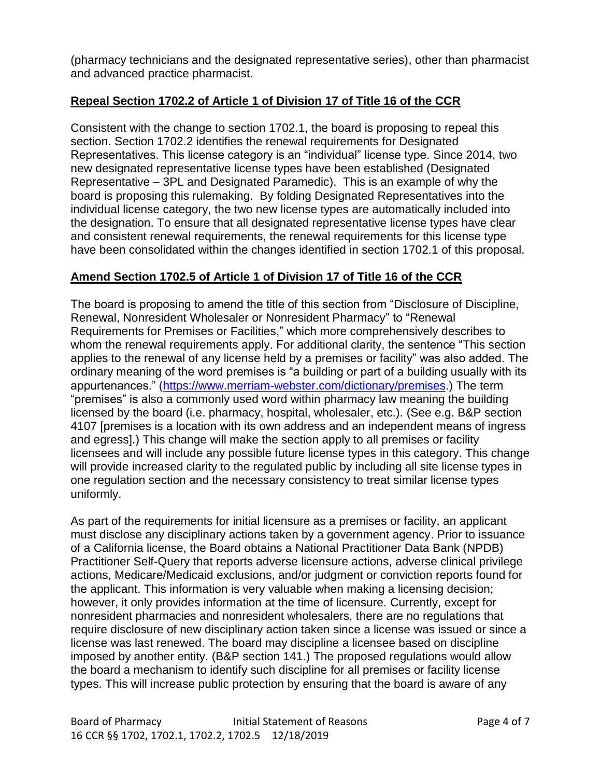(pharmacy technicians and the designated representative series), other than pharmacist and advanced practice pharmacist.

# **Repeal Section 1702.2 of Article 1 of Division 17 of Title 16 of the CCR**

Consistent with the change to section 1702.1, the board is proposing to repeal this section. Section 1702.2 identifies the renewal requirements for Designated Representatives. This license category is an "individual" license type. Since 2014, two new designated representative license types have been established (Designated Representative – 3PL and Designated Paramedic). This is an example of why the board is proposing this rulemaking. By folding Designated Representatives into the individual license category, the two new license types are automatically included into the designation. To ensure that all designated representative license types have clear and consistent renewal requirements, the renewal requirements for this license type have been consolidated within the changes identified in section 1702.1 of this proposal.

## **Amend Section 1702.5 of Article 1 of Division 17 of Title 16 of the CCR**

The board is proposing to amend the title of this section from "Disclosure of Discipline, Renewal, Nonresident Wholesaler or Nonresident Pharmacy" to "Renewal Requirements for Premises or Facilities," which more comprehensively describes to whom the renewal requirements apply. For additional clarity, the sentence "This section applies to the renewal of any license held by a premises or facility" was also added. The ordinary meaning of the word premises is "a building or part of a building usually with its appurtenances." [\(https://www.merriam-webster.com/dictionary/premises.](https://www.merriam-webster.com/dictionary/premises)) The term "premises" is also a commonly used word within pharmacy law meaning the building licensed by the board (i.e. pharmacy, hospital, wholesaler, etc.). (See e.g. B&P section 4107 [premises is a location with its own address and an independent means of ingress and egress].) This change will make the section apply to all premises or facility licensees and will include any possible future license types in this category. This change will provide increased clarity to the regulated public by including all site license types in one regulation section and the necessary consistency to treat similar license types uniformly.

As part of the requirements for initial licensure as a premises or facility, an applicant must disclose any disciplinary actions taken by a government agency. Prior to issuance of a California license, the Board obtains a [National Practitioner Data Bank \(NPDB\)](http://www.npdb.hrsa.gov/pract/selfQueryBasics.jsp)  [Practitioner Self-Query that](http://www.npdb.hrsa.gov/pract/selfQueryBasics.jsp) reports adverse licensure actions, adverse clinical privilege actions, Medicare/Medicaid exclusions, and/or judgment or conviction reports found for the applicant. This information is very valuable when making a licensing decision; however, it only provides information at the time of licensure. Currently, except for nonresident pharmacies and nonresident wholesalers, there are no regulations that require disclosure of new disciplinary action taken since a license was issued or since a license was last renewed. The board may discipline a licensee based on discipline imposed by another entity. (B&P section 141.) The proposed regulations would allow the board a mechanism to identify such discipline for all premises or facility license types. This will increase public protection by ensuring that the board is aware of any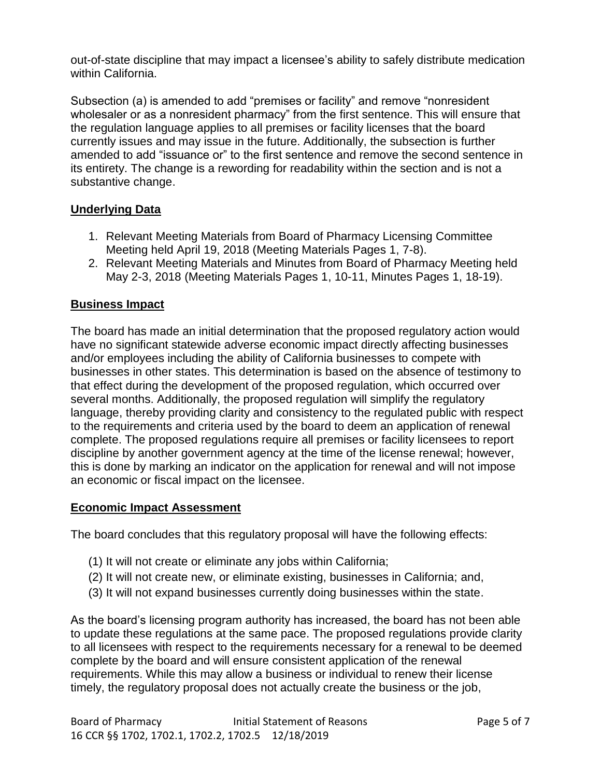out-of-state discipline that may impact a licensee's ability to safely distribute medication within California.

Subsection (a) is amended to add "premises or facility" and remove "nonresident wholesaler or as a nonresident pharmacy" from the first sentence. This will ensure that the regulation language applies to all premises or facility licenses that the board currently issues and may issue in the future. Additionally, the subsection is further amended to add "issuance or" to the first sentence and remove the second sentence in its entirety. The change is a rewording for readability within the section and is not a substantive change.

# **Underlying Data**

- 1. Relevant Meeting Materials from Board of Pharmacy Licensing Committee Meeting held April 19, 2018 (Meeting Materials Pages 1, 7-8).
- 2. Relevant Meeting Materials and Minutes from Board of Pharmacy Meeting held May 2-3, 2018 (Meeting Materials Pages 1, 10-11, Minutes Pages 1, 18-19).

## **Business Impact**

The board has made an initial determination that the proposed regulatory action would have no significant statewide adverse economic impact directly affecting businesses and/or employees including the ability of California businesses to compete with businesses in other states. This determination is based on the absence of testimony to that effect during the development of the proposed regulation, which occurred over several months. Additionally, the proposed regulation will simplify the regulatory language, thereby providing clarity and consistency to the regulated public with respect to the requirements and criteria used by the board to deem an application of renewal complete. The proposed regulations require all premises or facility licensees to report discipline by another government agency at the time of the license renewal; however, this is done by marking an indicator on the application for renewal and will not impose an economic or fiscal impact on the licensee.

### **Economic Impact Assessment**

The board concludes that this regulatory proposal will have the following effects:

- (1) It will not create or eliminate any jobs within California;
- (2) It will not create new, or eliminate existing, businesses in California; and,
- (3) It will not expand businesses currently doing businesses within the state.

As the board's licensing program authority has increased, the board has not been able to update these regulations at the same pace. The proposed regulations provide clarity to all licensees with respect to the requirements necessary for a renewal to be deemed complete by the board and will ensure consistent application of the renewal requirements. While this may allow a business or individual to renew their license timely, the regulatory proposal does not actually create the business or the job,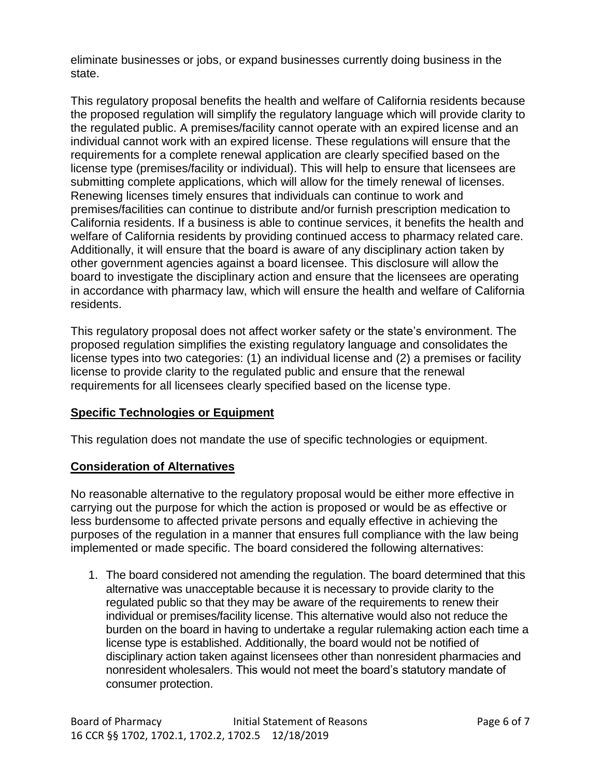eliminate businesses or jobs, or expand businesses currently doing business in the state.

This regulatory proposal benefits the health and welfare of California residents because the proposed regulation will simplify the regulatory language which will provide clarity to the regulated public. A premises/facility cannot operate with an expired license and an individual cannot work with an expired license. These regulations will ensure that the requirements for a complete renewal application are clearly specified based on the license type (premises/facility or individual). This will help to ensure that licensees are submitting complete applications, which will allow for the timely renewal of licenses. Renewing licenses timely ensures that individuals can continue to work and premises/facilities can continue to distribute and/or furnish prescription medication to California residents. If a business is able to continue services, it benefits the health and welfare of California residents by providing continued access to pharmacy related care. Additionally, it will ensure that the board is aware of any disciplinary action taken by other government agencies against a board licensee. This disclosure will allow the board to investigate the disciplinary action and ensure that the licensees are operating in accordance with pharmacy law, which will ensure the health and welfare of California residents.

This regulatory proposal does not affect worker safety or the state's environment. The proposed regulation simplifies the existing regulatory language and consolidates the license types into two categories: (1) an individual license and (2) a premises or facility license to provide clarity to the regulated public and ensure that the renewal requirements for all licensees clearly specified based on the license type.

### **Specific Technologies or Equipment**

This regulation does not mandate the use of specific technologies or equipment.

### **Consideration of Alternatives**

No reasonable alternative to the regulatory proposal would be either more effective in carrying out the purpose for which the action is proposed or would be as effective or less burdensome to affected private persons and equally effective in achieving the purposes of the regulation in a manner that ensures full compliance with the law being implemented or made specific. The board considered the following alternatives:

1. The board considered not amending the regulation. The board determined that this alternative was unacceptable because it is necessary to provide clarity to the regulated public so that they may be aware of the requirements to renew their individual or premises/facility license. This alternative would also not reduce the burden on the board in having to undertake a regular rulemaking action each time a license type is established. Additionally, the board would not be notified of disciplinary action taken against licensees other than nonresident pharmacies and nonresident wholesalers. This would not meet the board's statutory mandate of consumer protection.